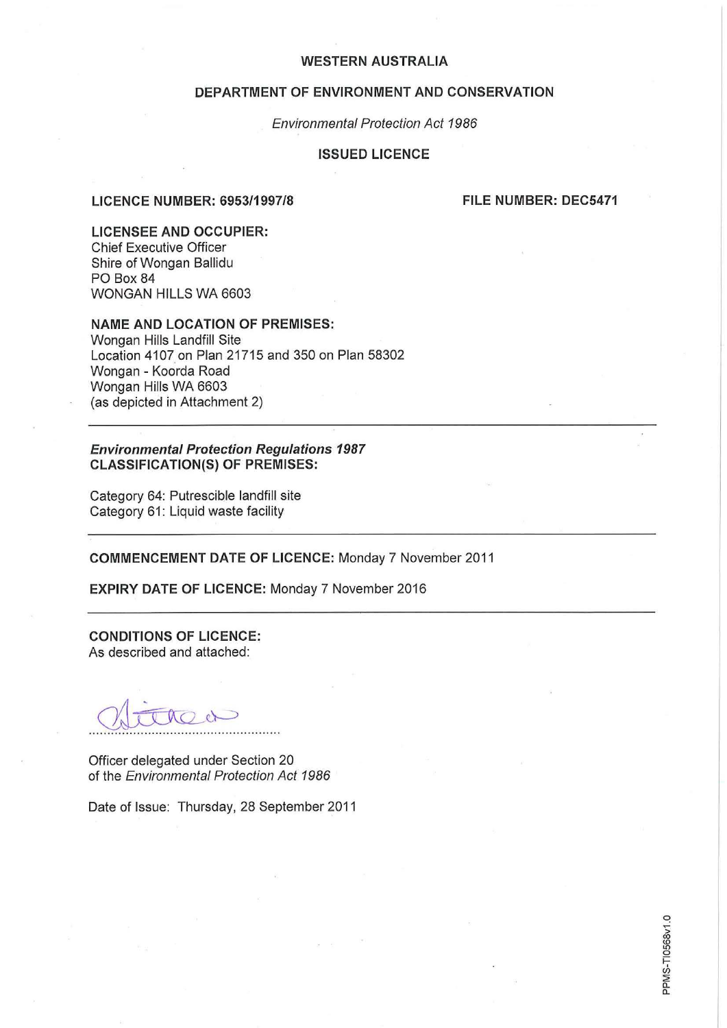### **DEPARTMENT OF ENVIRONMENT AND CONSERVATION**

Environmental Protection Act 1986

#### **ISSUED LICENCE**

### **LICENCE NUMBER: 6953/1997/8**

**FILE NUMBER: DEC5471** 

**LICENSEE AND OCCUPIER:**  Chief Executive Officer Shire of Wongan Ballidu PO Box 84 WONGAN HILLS WA 6603

### **NAME AND LOCATION OF PREMISES:**

Wongan Hills Landfill Site Location 4107 on Plan 21715 and 350 on Plan 58302 Wongan - Koorda Road Wongan Hills WA 6603 (as depicted in Attachment 2)

### **Environmental Protection Regulations 1987 CLASSIFICATION(S) OF PREMISES:**

Category 64: Putrescible landfill site Category 61: Liquid waste facility

**COMMENCEMENT DATE OF LICENCE:** Monday 7 November 2011

**EXPIRY DATE OF LICENCE:** Monday 7 November 2016

**CONDITIONS OF LICENCE:**  As described and attached:

Officer delegated under Section 20 of the Environmental Protection Act 1986

Date of Issue: Thursday, 28 September 2011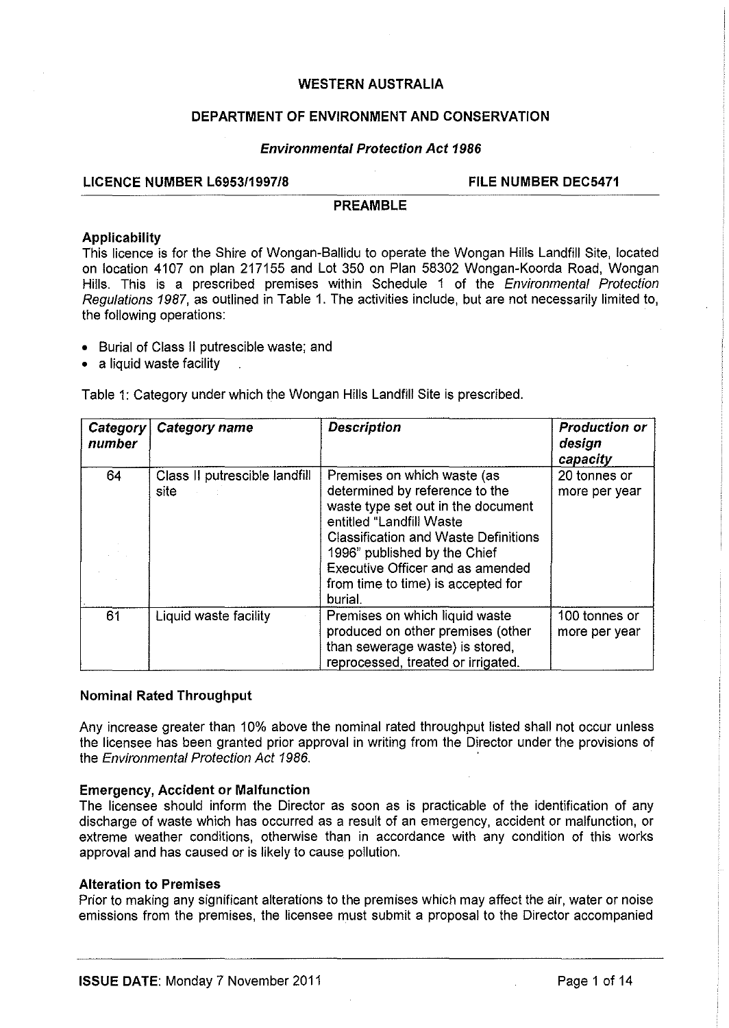# **DEPARTMENT OF ENVIRONMENT AND CONSERVATION**

### **Environmental Protection Act 1986**

# LICENCE NUMBER L6953/1997/8 FILE NUMBER DEC5471

#### **PREAMBLE**

#### **Applicability**

This licence is for the Shire of Wongan-Ballidu to operate the Wongan Hills Landfill Site, located on location 4107 on plan 217155 and Lot 350 on Plan 58302 Wongan-Koorda Road, Wongan Hills. This is a prescribed premises within Schedule 1 of the Environmental Protection Regulations 1987, as outlined in Table 1. The activities include, but are not necessarily limited to, the following operations:

- Burial of Class II putrescible waste; and
- a liquid waste facility

Table 1: Category under which the Wongan Hills Landfill Site is prescribed.

| Category<br>number | Category name                         | <b>Description</b>                                                                                                                                                                                                                                                                                  | <b>Production or</b><br>design<br>capacity |
|--------------------|---------------------------------------|-----------------------------------------------------------------------------------------------------------------------------------------------------------------------------------------------------------------------------------------------------------------------------------------------------|--------------------------------------------|
| 64                 | Class II putrescible landfill<br>site | Premises on which waste (as<br>determined by reference to the<br>waste type set out in the document<br>entitled "Landfill Waste<br><b>Classification and Waste Definitions</b><br>1996" published by the Chief<br>Executive Officer and as amended<br>from time to time) is accepted for<br>burial. | 20 tonnes or<br>more per year              |
| 61                 | Liquid waste facility                 | Premises on which liquid waste<br>produced on other premises (other<br>than sewerage waste) is stored,<br>reprocessed, treated or irrigated.                                                                                                                                                        | 100 tonnes or<br>more per year             |

### **Nominal Rated Throughput**

Any increase greater than 10% above the nominal rated throughput listed shall not occur unless the licensee has been granted prior approval in writing from the Director under the provisions of the Environmental Protection Act 1986.

### **Emergency, Accident or Malfunction**

The licensee should inform the Director as soon as is practicable of the identification of any discharge of waste which has occurred as a result of an emergency, accident or malfunction, or extreme weather conditions, otherwise than in accordance with any condition of this works approval and has caused or is likely to cause pollution.

### **Alteration to Premises**

Prior to making any significant alterations to the premises which may affect the air, water or noise emissions from the premises, the licensee must submit a proposal to the Director accompanied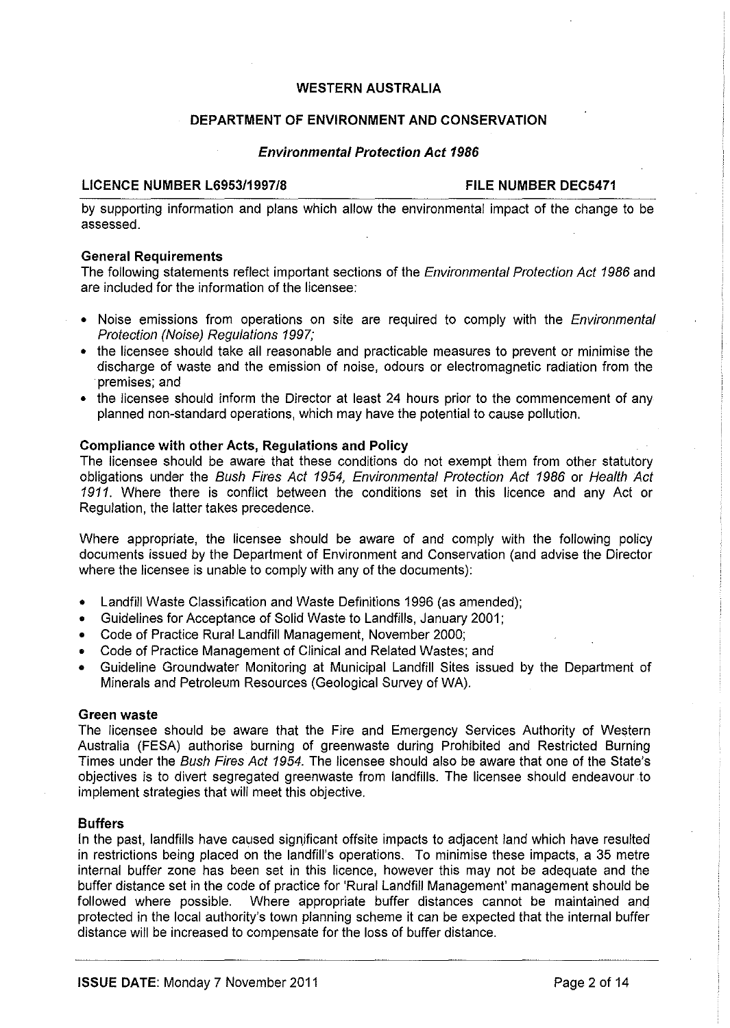# **DEPARTMENT OF ENVIRONMENT AND CONSERVATION**

#### **Environmental Protection Act 1986**

#### LICENCE NUMBER L6953/1997/8 FILE NUMBER DEC5471

by supporting information and plans which allow the environmental impact of the change to be assessed.

### **General Requirements**

The following statements reflect important sections of the *Environmental Protection Act 1986* and are included for the information of the licensee:

- Noise emissions from operations on site are required to comply with the *Environmental* Protection (Noise) Regulations 1997;
- the licensee should take all reasonable and practicable measures to prevent or minimise the discharge of waste and the emission of noise, odours or electromagnetic radiation from the premises; and
- the licensee should inform the Director at least 24 hours prior to the commencement of any planned non-standard operations, which may have the potential to cause pollution.

#### **Compliance with other Acts, Regulations and Policy**

The licensee should be aware that these conditions do not exempt them from other statutory obligations under the Bush Fires Act 1954, Environmental Protection Act 1986 or Health Act 1911. Where there is conflict between the conditions set in this licence and any Act or Regulation, the latter takes precedence.

Where appropriate, the licensee should be aware of and comply with the following policy documents issued by the Department of Environment and Conservation (and advise the Director where the licensee is unable to comply with any of the documents):

- Landfill Waste Classification and Waste Definitions 1996 (as amended);
- Guidelines for Acceptance of Solid Waste to Landfills, January 2001;
- Code of Practice Rural Landfill Management, November 2000;
- Code of Practice Management of Clinical and Related Wastes; and
- Guideline Groundwater Monitoring at Municipal Landfill Sites issued by the Department of Minerals and Petroleum Resources (Geological Survey of WA).

#### **Green waste**

The licensee should be aware that the Fire and Emergency Services Authority of Western Australia (FESA) authorise burning of greenwaste during Prohibited and Restricted Burning Times under the Bush Fires Act 1954. The licensee should also be aware that one of the State's objectives is to divert segregated greenwaste from landfills. The licensee should endeavour to implement strategies that will meet this objective.

### **Buffers**

In the past, landfills have caused significant offsite impacts to adjacent land which have resulted in restrictions being placed on the landfill's operations. To minimise these impacts, a 35 metre internal buffer zone has been set in this licence, however this may not be adequate and the buffer distance set in the code of practice for 'Rural Landfill Management' management should be followed where possible. Where appropriate buffer distances cannot be maintained and protected in the local authority's town planning scheme it can be expected that the internal buffer distance will be increased to compensate for the loss of buffer distance.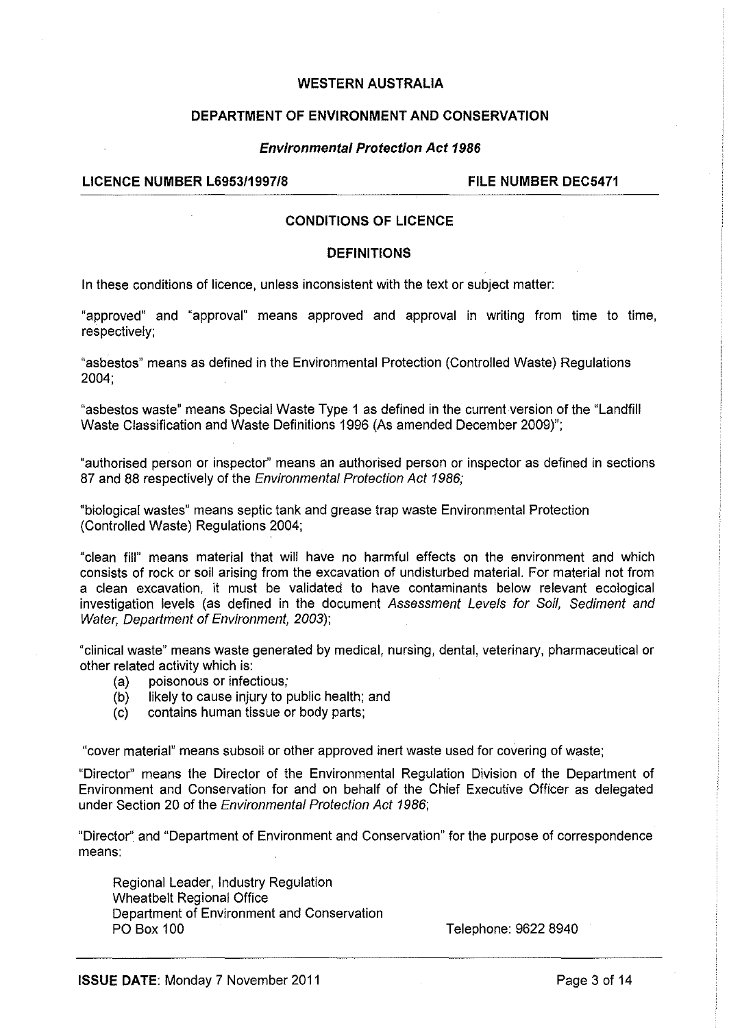# **DEPARTMENT OF ENVIRONMENT AND CONSERVATION**

## **Environmental Protection Act 1986**

# LICENCE NUMBER L6953/1997/8 FILE NUMBER DEC5471

# **CONDITIONS OF LICENCE**

# **DEFINITIONS**

In these conditions of licence, unless inconsistent with the text or subject matter:

"approved" and "approval" means approved and approval in writing from time to time, respectively;

"asbestos" means as defined in the Environmental Protection (Controlled Waste) Regulations 2004;

"asbestos waste" means Special Waste Type 1 as defined in the current version of the "Landfill Waste Classification and Waste Definitions 1996 (As amended December 2009)";

"authorised person or inspector" means an authorised person or inspector as defined in sections 87 and 88 respectively of the Environmental Protection Act 1986;

"biological wastes" means septic tank and grease trap waste Environmental Protection (Controlled Waste) Regulations 2004;

"clean fill" means material that will have no harmful effects on the environment and which consists of rock or soil arising from the excavation of undisturbed material. For material not from a clean excavation, it must be validated to have contaminants below relevant ecological investigation levels (as defined in the document Assessment Levels for Soil, Sediment and Water, Department of Environment, 2003);

"clinical waste" means waste generated by medical, nursing, dental, veterinary, pharmaceutical or other related activity which is:

- (a) poisonous or infectious;
- (b) likely to cause injury to public health; and
- (c) contains human tissue or body parts;

"cover material" means subsoil or other approved inert waste used for covering of waste;

"Director" means the Director of the Environmental Regulation Division of the Department of Environment and Conservation for and on behalf of the Chief Executive Officer as delegated under Section 20 of the Environmental Protection Act 1986;

"Director" and "Department of Environment and Conservation" for the purpose of correspondence means:

Regional Leader, Industry Regulation Wheatbelt Regional Office Department of Environment and Conservation PO Box 100

Telephone: 9622 8940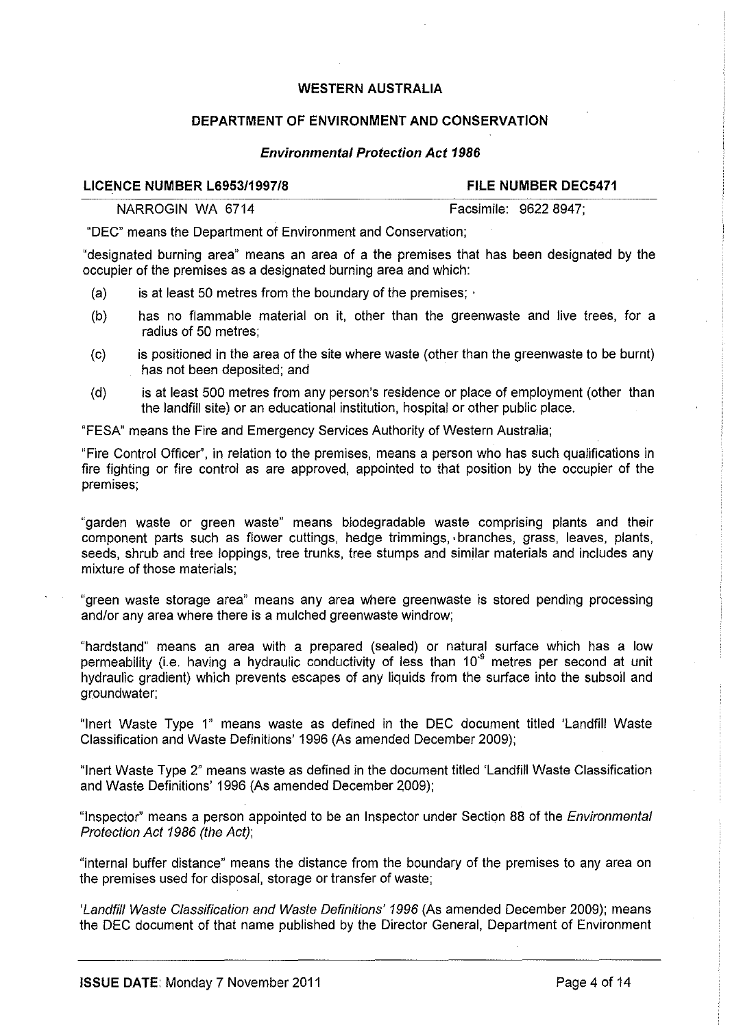# **DEPARTMENT OF ENVIRONMENT AND CONSERVATION**

### **Environmental Protection Act 1986**

#### **LICENCE NUMBER L6953/1997/8 FILE NUMBER DEC5471**

NARROGIN WA 6714 **Facsimile: 9622 8947**;

"DEC" means the Department of Environment and Conservation;

"designated burning area" means an area of a the premises that has been designated by the occupier of the premises as a designated burning area and which:

- (a) is at least 50 metres from the boundary of the premises;  $\cdot$
- (b) has no flammable material on it, other than the greenwaste and live trees, for a radius of 50 metres;
- (c) is positioned in the area of the site where waste (other than the greenwaste to be burnt) has not been deposited; and
- (d) is at least 500 metres from any person's residence or place of employment (other than the landfill site) or an educational institution, hospital or other public place.

"FESA" means the Fire and Emergency Services Authority of Western Australia;

"Fire Control Officer', in relation to the premises, means a person who has such qualifications in fire fighting or fire control as are approved, appointed to that position by the occupier of the premises;

"garden waste or green waste" means biodegradable waste comprising plants and their component parts such as flower cuttings, hedge trimmings, ·branches, grass, leaves, plants, seeds, shrub and tree loppings, tree trunks, tree stumps and similar materials and includes any mixture of those materials;

"green waste storage area" means any area where greenwaste is stored pending processing and/or any area where there is a mulched greenwaste windrow;

"hardstand" means an area with a prepared (sealed) or natural surface which has a low permeability (i.e. having a hydraulic conductivity of less than  $10<sup>-9</sup>$  metres per second at unit hydraulic gradient) which prevents escapes of any liquids from the surface into the subsoil and groundwater;

"Inert Waste Type 1" means waste as defined in the DEC document titled 'Landfill Waste Classification and Waste Definitions' 1996 (As amended December 2009);

"Inert Waste Type 2" means waste as defined in the document titled 'Landfill Waste Classification and Waste Definitions' 1996 (As amended December 2009);

"Inspector" means a person appointed to be an Inspector under Section 88 of the *Environmental* Protection Act 1986 (the Act);

"internal buffer distance" means the distance from the boundary of the premises to any area on the premises used for disposal, storage or transfer of waste;

'Landfill Waste Classification and Waste Definitions' 1996 (As amended December 2009); means the DEC document of that name published by the Director General, Department of Environment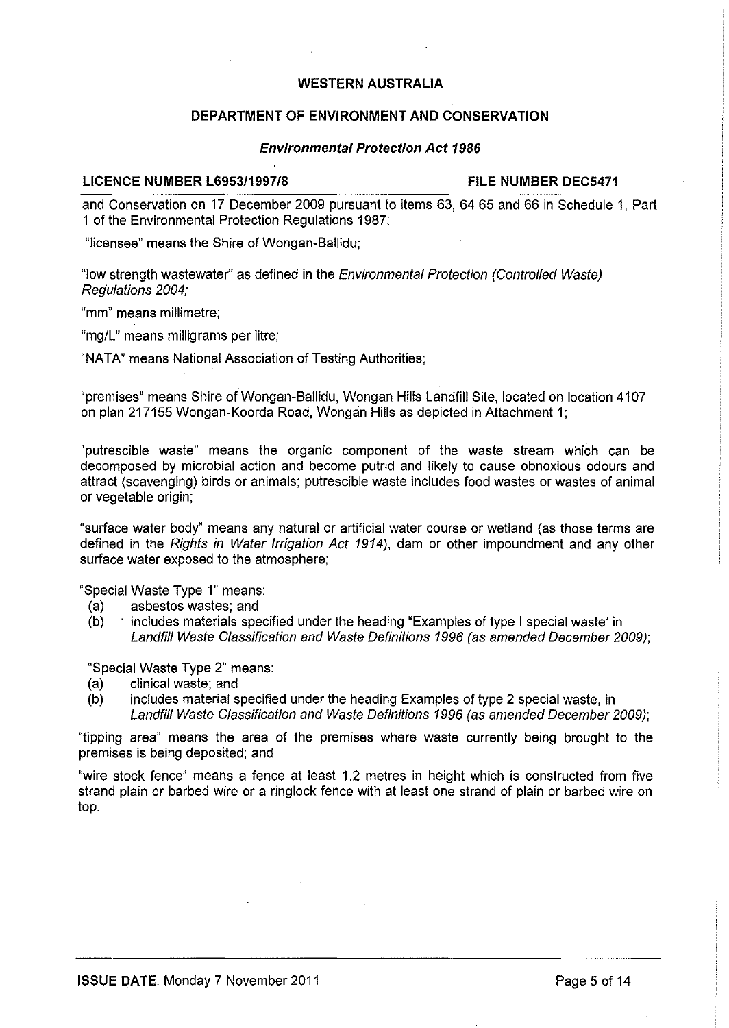# **DEPARTMENT OF ENVIRONMENT AND CONSERVATION**

#### **Environmental Protection Act 1986**

#### LICENCE NUMBER L6953/1997/8 FILE NUMBER DEC5471

and Conservation on 17 December 2009 pursuant to items 63, 64 65 and 66 in Schedule 1, Part 1 of the Environmental Protection Regulations 1987;

"licensee" means the Shire of Wongan-Ballidu;

"low strength wastewater'' as defined in the Environmental Protection (Controlled Waste) Regulations 2004;

"mm" means millimetre;

"mg/L" means milligrams per litre;

"NATA" means National Association of Testing Authorities;

"premises" means Shire of Wongan-Ballidu, Wongan Hills Landfill Site, located on location 4107 on plan 217155 Wongan-Koorda Road, Wongan Hills as depicted in Attachment 1;

"putrescible waste" means the organic component of the waste stream which can be decomposed by microbial action and become putrid and likely to cause obnoxious odours and attract (scavenging) birds or animals; putrescible waste includes food wastes or wastes of animal or vegetable origin;

"surface water body" means any natural or artificial water course or wetland (as those terms are defined in the Rights in Water Irrigation Act 1914), dam or other impoundment and any other surface water exposed to the atmosphere;

"Special Waste Type 1" means:

- (a) asbestos wastes; and
- (b) includes materials specified under the heading "Examples of type I special waste' in Landfill Waste Classification and Waste Definitions 1996 (as amended December 2009);

"Special Waste Type 2" means:

- (a) clinical waste; and
- (b) includes material specified under the heading Examples of type 2 special waste, in Landfill Waste Classification and Waste Definitions 1996 (as amended December 2009);

"tipping area" means the area of the premises where waste currently being brought to the premises is being deposited; and

"wire stock fence" means a fence at least 1.2 metres in height which is constructed from five strand plain or barbed wire or a ringlock fence with at least one strand of plain or barbed wire on top.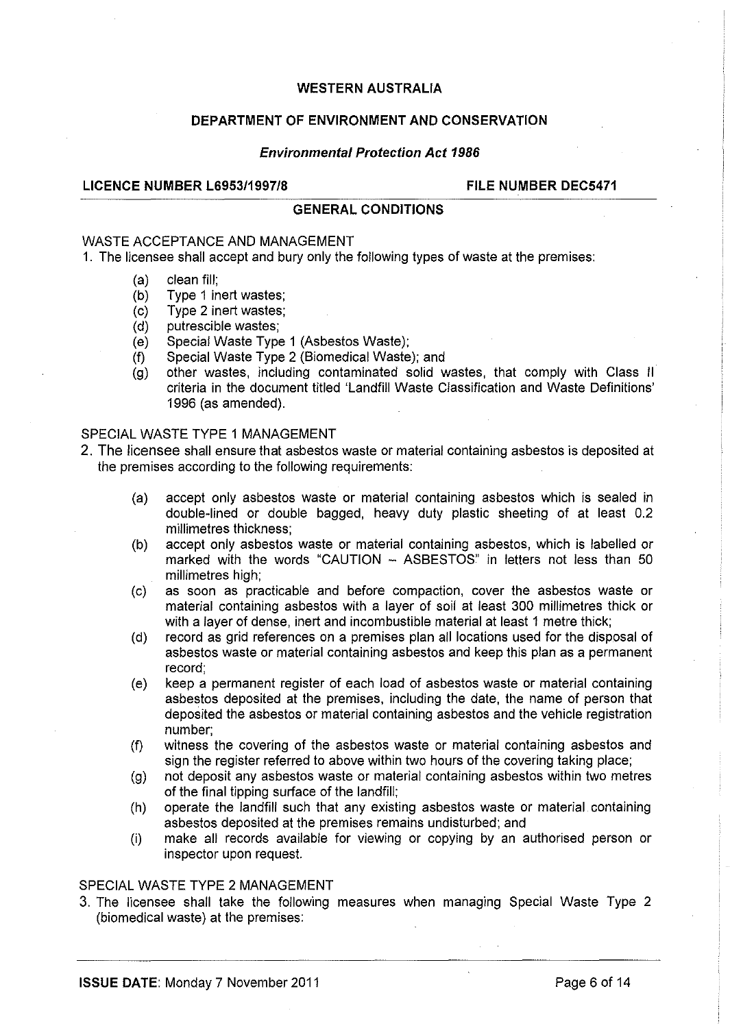### **DEPARTMENT OF ENVIRONMENT AND CONSERVATION**

#### **Environmental Protection Act 1986**

#### **LICENCE NUMBER L6953/1997/8 FILE NUMBER DEC5471**

### **GENERAL CONDITIONS**

#### WASTE ACCEPTANCE AND MANAGEMENT

1. The licensee shall accept and bury only the following types of waste at the premises:

- (a) clean fill;
- (b) Type 1 inert wastes;
- (c) Type 2 inert wastes;
- (d) putrescible wastes;
- (e) Special Waste Type 1 (Asbestos Waste);
- (f) Special Waste Type 2 (Biomedical Waste); and
- (g) other wastes, including contaminated solid wastes, that comply with Class II criteria in the document titled 'Landfill Waste Classification and Waste Definitions' 1996 (as amended).

# SPECIAL WASTE TYPE 1 MANAGEMENT

- 2. The licensee shall ensure that asbestos waste or material containing asbestos is deposited at the premises according to the following requirements:
	- (a) accept only asbestos waste or material containing asbestos which is sealed in double-lined or double bagged, heavy duty plastic sheeting of at least 0.2 millimetres thickness;
	- (b) accept only asbestos waste or material containing asbestos, which is labelled or marked with the words "CAUTION - ASBESTOS" in letters not less than 50 millimetres high;
	- (c) as soon as practicable and before compaction, cover the asbestos waste or material containing asbestos with a layer of soil at least 300 millimetres thick or with a layer of dense, inert and incombustible material at least 1 metre thick;
	- (d) record as grid references on a premises plan all locations used for the disposal of asbestos waste or material containing asbestos and keep this plan as a permanent record;
	- (e) keep a permanent register of each load of asbestos waste or material containing asbestos deposited at the premises, including the date, the name of person that deposited the asbestos or material containing asbestos and the vehicle registration number;
	- (f) witness the covering of the asbestos waste or material containing asbestos and sign the register referred to above within two hours of the covering taking place;
	- (g) not deposit any asbestos waste or material containing asbestos within two metres of the final tipping surface of the landfill;
	- (h) operate the landfill such that any existing asbestos waste or material containing asbestos deposited at the premises remains undisturbed; and
	- (i) make all records available for viewing or copying by an authorised person or inspector upon request.

#### SPECIAL WASTE TYPE 2 MANAGEMENT

3. The licensee shall take the following measures when managing Special Waste Type 2 (biomedical waste) at the premises: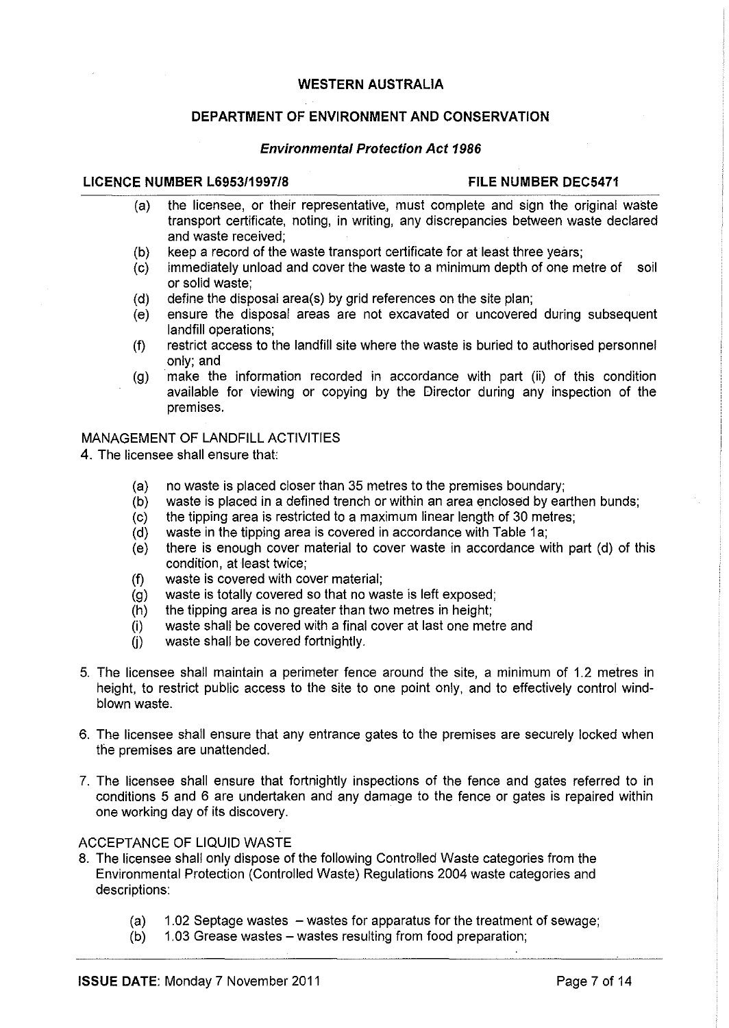# **DEPARTMENT OF ENVIRONMENT AND CONSERVATION**

#### **Environmental Protection Act 1986**

#### **LICENCE NUMBER L6953/1997/8 FILE NUMBER DEC5471**

- (a) the licensee, or their representative., must complete and sign the original waste transport certificate, noting, in writing, any discrepancies between waste declared and waste received;
- (b) keep a record of the waste transport certificate for at least three years;
- (c) immediately unload and cover the waste to a minimum depth of one metre of soil or solid waste;
- (d) define the disposal area(s) by grid references on the site plan;
- (e) ensure the disposal areas are not excavated or uncovered during subsequent landfill operations;
- (f) restrict access to the landfill site where the waste is buried to authorised personnel only; and
- (g) make the information recorded in accordance with part (ii) of this condition available for viewing or copying by the Director during any inspection of the premises.

# MANAGEMENT OF LANDFILL ACTIVITIES

- 4. The licensee shall ensure that
	- (a) no waste is placed closer than 35 metres to the premises boundary;
	- (b) waste is placed in a defined trench or within an area enclosed by earthen bunds;
	- (c) the tipping area is restricted to a maximum linear length of 30 metres;
	- $(d)$  waste in the tipping area is covered in accordance with Table 1a;
	- (e) there is enough cover material to cover waste in accordance with part (d) of this condition, at least twice;
	- (f) waste is covered with cover material;
	- (g) waste is totally covered so that no waste is left exposed;
	- (h) the tipping area is no greater than two metres in height;
	- (i) waste shall be covered with a final cover at last one metre and
	- (i) waste shall be covered fortnightly.
- 5. The licensee shall maintain a perimeter fence around the site, a minimum of 1.2 metres in height, to restrict public access to the site to one point only, and to effectively control windblown waste.
- 6. The licensee shall ensure that any entrance gates to the premises are securely locked when the premises are unattended.
- 7. The licensee shall ensure that fortnightly inspections of the fence and gates referred to in conditions 5 and 6 are undertaken and any damage to the fence or gates is repaired within one working day of its discovery.

### ACCEPTANCE OF LIQUID WASTE

- 8. The licensee shall only dispose of the following Controlled Waste categories from the Environmental Protection (Controlled Waste) Regulations 2004 waste categories and descriptions:
	- (a)  $1.02$  Septage wastes  $-$  wastes for apparatus for the treatment of sewage;
	- (b) 1.03 Grease wastes- wastes resulting from food preparation;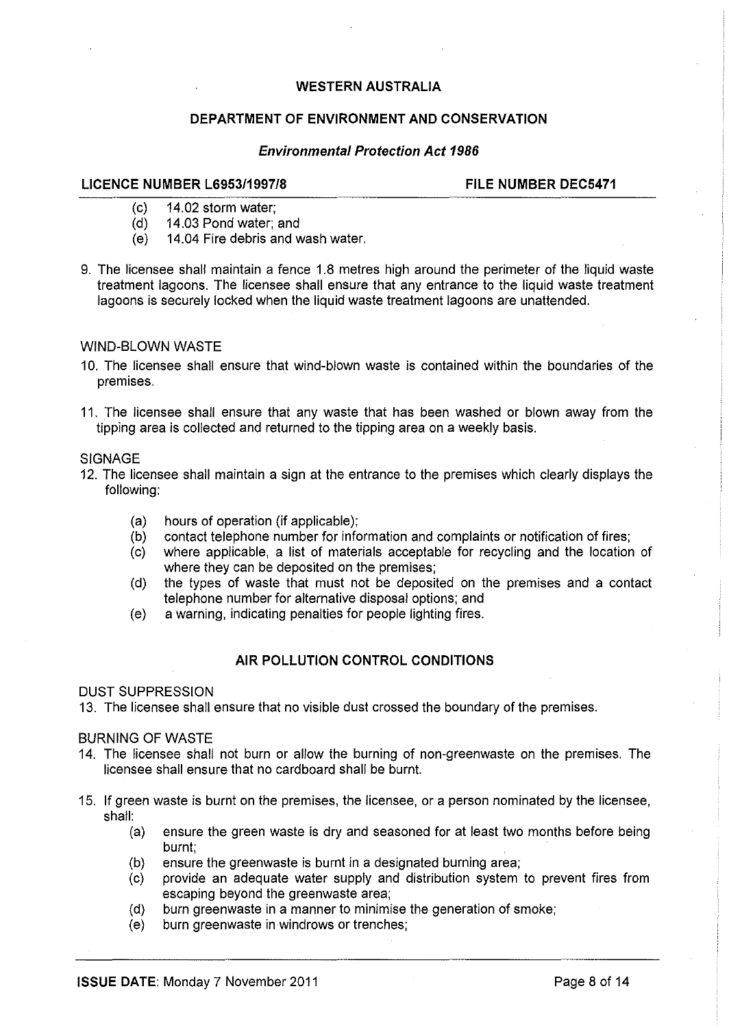# **DEPARTMENT OF ENVIRONMENT AND CONSERVATION**

#### **Environmental Protection Act 1986**

#### **LICENCE NUMBER L6953/1997/8 FILE NUMBER DEC5471**

- (c) 14.02 storm water;
- (d) 14.03 Pond water; and
- (e) 14.04 Fire debris and wash water.
- 9. The licensee shall maintain a fence 1.8 metres high around the perimeter of the liquid waste treatment lagoons. The licensee shall ensure that any entrance to the liquid waste treatment lagoons is securely locked when the liquid waste treatment lagoons are unattended.

#### WIND-BLOWN WASTE

- 10. The licensee shall ensure that wind-blown waste is contained within the boundaries of the premises.
- 11. The licensee shall ensure that any waste that has been washed or blown away from the tipping area is collected and returned to the tipping area on a weekly basis.

#### SIGNAGE

- 12. The licensee shall maintain a sign at the entrance to the premises which clearly displays the following:
	- (a) hours of operation (if applicable);
	- (b) contact telephone number for information and complaints or notification of fires;
	- (c) where applicable, a list of materials acceptable for recycling and the location of where they can be deposited on the premises;
	- (d) the types of waste that must not be deposited on the premises and a contact telephone number for alternative disposal options; and
	- (e) a warning, indicating penalties for people lighting fires.

### **AIR POLLUTION CONTROL CONDITIONS**

#### DUST SUPPRESSION

13. The licensee shall ensure that no visible dust crossed the boundary of the premises.

#### BURNING OF WASTE

- 14. The licensee shall not burn or allow the burning of non-greenwaste on the premises. The licensee shall ensure that no cardboard shall be burnt.
- 15. If green waste is burnt on the premises, the licensee, or a person nominated by the licensee, shall:
	- (a) ensure the green waste is dry and seasoned for at least two months before being burnt;
	- (b) ensure the greenwaste is burnt in a designated burning area;
	- $(c)$ provide an adequate water supply and distribution system to prevent fires from escaping beyond the greenwaste area;
	- (d) burn greenwaste in a manner to minimise the generation of smoke;
	- (e) burn greenwaste in windrows or trenches;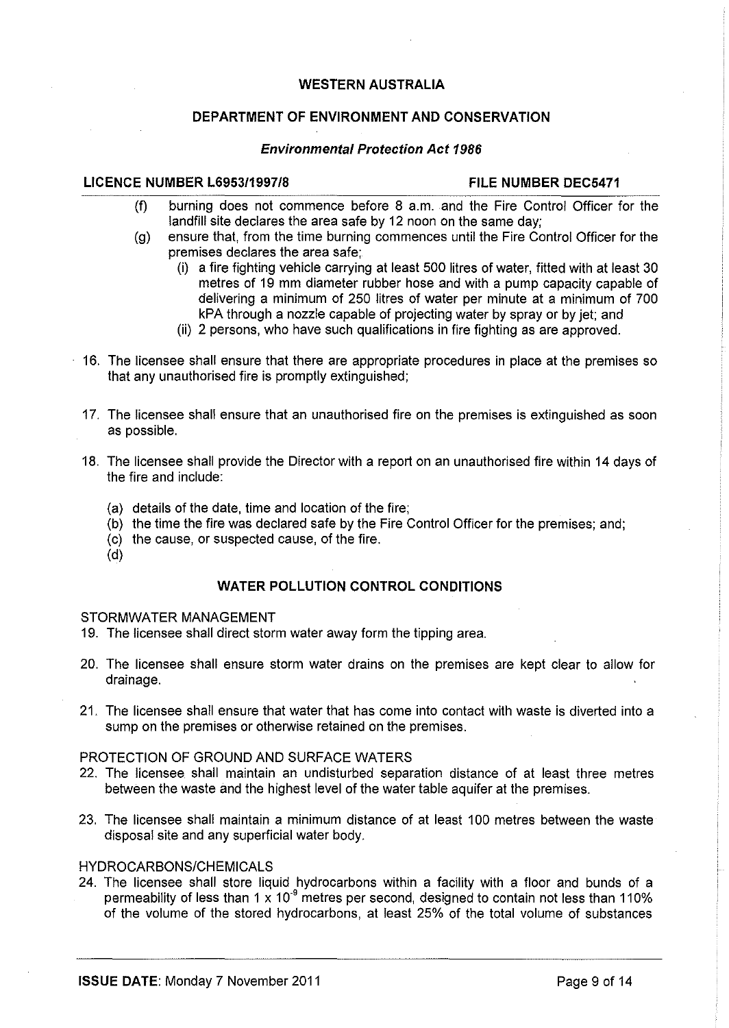# **DEPARTMENT OF ENVIRONMENT AND CONSERVATION**

#### **Environmental Protection Act 1986**

### LICENCE NUMBER L6953/1997/8 FILE NUMBER DEC5471

- (f) burning does not commence before 8 a.m. and the Fire Control Officer for the landfill site declares the area safe by 12 noon on the same day;
- (g) ensure that, from the time burning commences until the Fire Control Officer for the premises declares the area safe;
	- (i) a fire fighting vehicle carrying at least 500 litres of water, fitted with at least 30 metres of 19 mm diameter rubber hose and with a pump capacity capable of delivering a minimum of 250 litres of water per minute at a minimum of 700 kPA through a nozzle capable of projecting water by spray or by jet; and
	- (ii) 2 persons, who have such qualifications in fire fighting as are approved.
- 16. The licensee shall ensure that there are appropriate procedures in place at the premises so that any unauthorised fire is promptly extinguished;
- 17. The licensee shall ensure that an unauthorised fire on the premises is extinguished as soon as possible.
- 18. The licensee shall provide the Director with a report on an unauthorised fire within 14 days of the fire and include:
	- (a) details of the date, time and location of the fire;
	- (b) the time the fire was declared safe by the Fire Control Officer for the premises; and;
	- (c) the cause, or suspected cause, of the fire.
	- (d)

### **WATER POLLUTION CONTROL CONDITIONS**

#### STORMWATER MANAGEMENT

19. The licensee shall direct storm water away form the tipping area.

- 20. The licensee shall ensure storm water drains on the premises are kept clear to allow for drainage.
- 21. The licensee shall ensure that water that has come into contact with waste is diverted into a sump on the premises or otherwise retained on the premises.

# PROTECTION OF GROUND AND SURFACE WATERS

- 22. The licensee. shall maintain an undisturbed separation distance of at least three metres between the waste and the highest level of the water table aquifer at the premises.
- 23. The licensee shall maintain a minimum distance of at least 100 metres between the waste disposal site and any superficial water body.

# HYDROCARBONS/CHEMICALS

24. The licensee shall store liquid hydrocarbons within a facility with a floor and bunds of a permeability of less than 1 x 10<sup>-9</sup> metres per second, designed to contain not less than 110% of the volume of the stored hydrocarbons, at least 25% of the total volume of substances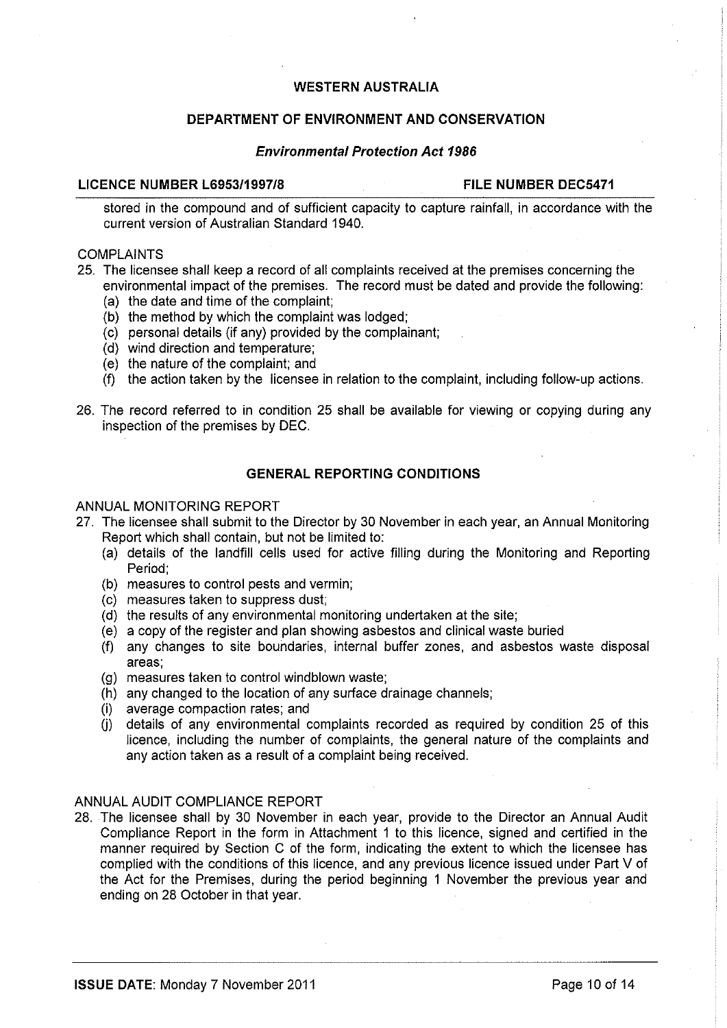# **DEPARTMENT OF ENVIRONMENT AND CONSERVATION**

#### **Environmental Protection Act 1986**

#### **LICENCE NUMBER L6953/1997/8 FILE NUMBER DEC5471**

stored in the compound and of sufficient capacity to capture rainfall, in accordance with the current version of Australian Standard 1940.

#### COMPLAINTS

25. The licensee shall keep a record of all complaints received at the premises concerning the environmental impact of the premises. The record must be dated and provide the following:

- (a) the date and time of the complaint;
- (b) the method by which the complaint was lodged;
- (c) personal details (if any) provided by the complainant;
- (d) wind direction and temperature;
- (e) the nature of the complaint; and
- (f) the action taken by the licensee in relation to the complaint, including follow-up actions.
- 26. The record referred to in condition 25 shall be available for viewing or copying during any inspection of the premises by DEC.

### **GENERAL REPORTING CONDITIONS**

#### ANNUAL MONITORING REPORT

- 27. The licensee shall submit to the Director by 30 November in each year, an Annual Monitoring Report which shall contain, but not be limited to:
	- (a) details of the landfill cells used for active filling during the Monitoring and Reporting Period;
	- (b) measures to control pests and vermin;
	- (c) measures taken to suppress dust;
	- (d) the results of any environmental monitoring undertaken at the site;
	- (e) a copy of the register and plan showing asbestos and clinical waste buried
	- (f) any changes to site boundaries, internal buffer zones, and asbestos waste disposal areas;
	- (g) measures taken to control windblown waste;
	- (h) any changed to the location of any surface drainage channels;
	- (i) average compaction rates; and
	- (i) details of any environmental complaints recorded as required by condition 25 of this licence, including the number of complaints, the general nature of the complaints and any action taken as a result of a complaint being received.

# ANNUAL AUDIT COMPLIANCE REPORT

28. The licensee shall by 30 November in each year, provide to the Director an Annual Audit Compliance Report in the form in Attachment 1 to this licence, signed and certified in the manner required by Section C of the form, indicating the extent to which the licensee has complied with the conditions of this licence, and any previous licence issued under Part V of the Act for the Premises, during the period beginning 1 November the previous year and ending on 28 October in that year.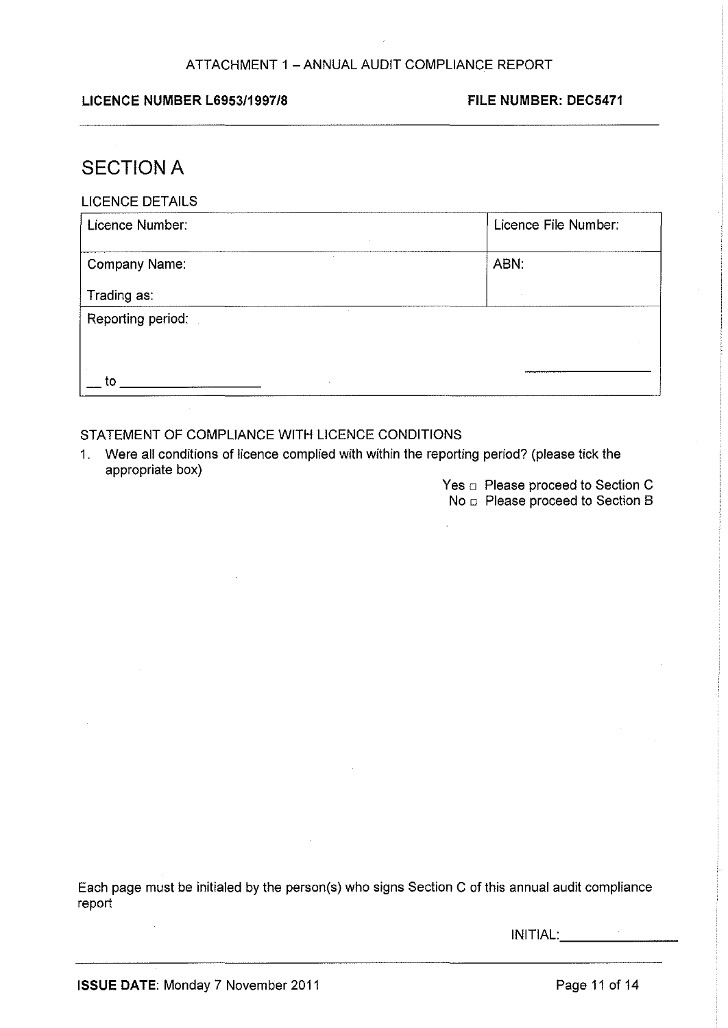# ATTACHMENT 1 - ANNUAL AUDIT COMPLIANCE REPORT

### LICENCE NUMBER L6953/1997/8 FILE NUMBER: DEC5471

# **SECTION A**

| <b>LICENCE DETAILS</b> |
|------------------------|
|------------------------|

| Licence Number:   | Licence File Number: |
|-------------------|----------------------|
| Company Name:     | ABN:                 |
| Trading as:       |                      |
| Reporting period: |                      |
| to                |                      |

# STATEMENT OF COMPLIANCE WITH LICENCE CONDITIONS

- 1. Were all conditions of licence complied with within the reporting period? (please tick the appropriate box)
	- Yes  $\Box$  Please proceed to Section C
	- No **D** Please proceed to Section B

Each page must be initialed by the person(s) who signs Section C of this annual audit compliance report

INITIAL: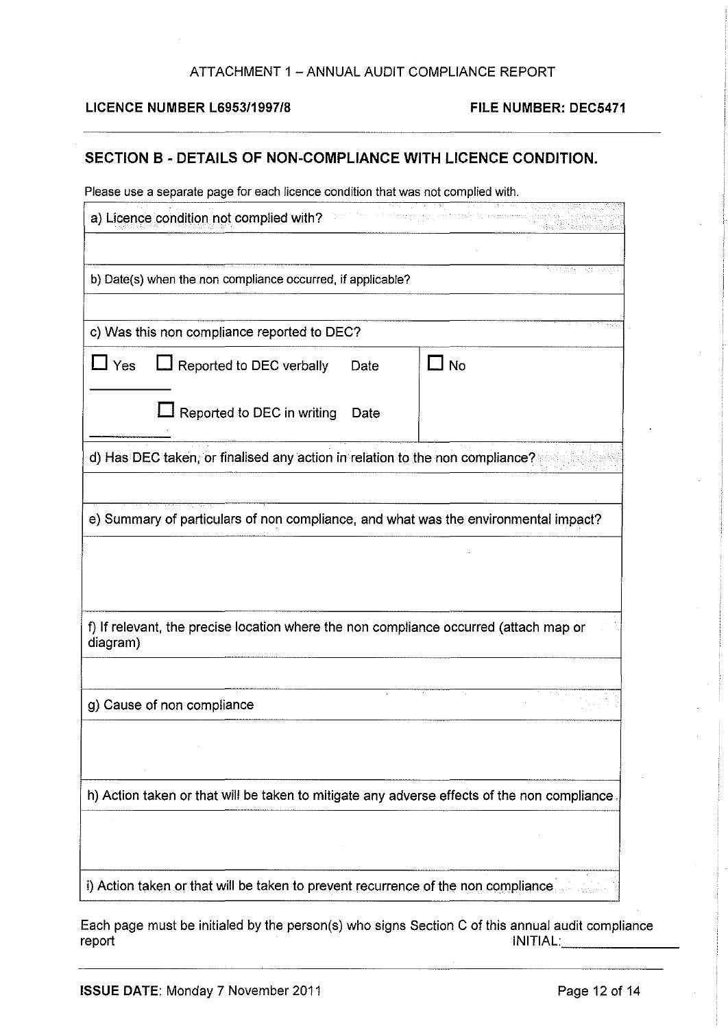# ATTACHMENT 1 - ANNUAL AUDIT COMPLIANCE REPORT

### **LICENCE NUMBER L6953/1997/8 FILE NUMBER: DEC5471**

# **SECTION B- DETAILS OF NON-COMPLIANCE WITH LICENCE CONDITION.**

Please use a separate page for each licence condition that was not complied with.

|                                                                                                                                                                                          | a) Licence condition not complied with?                                      |      |     |  |
|------------------------------------------------------------------------------------------------------------------------------------------------------------------------------------------|------------------------------------------------------------------------------|------|-----|--|
|                                                                                                                                                                                          | b) Date(s) when the non compliance occurred, if applicable?                  |      |     |  |
|                                                                                                                                                                                          | c) Was this non compliance reported to DEC?                                  |      |     |  |
| 」 Yes                                                                                                                                                                                    | Reported to DEC verbally                                                     | Date | 」No |  |
|                                                                                                                                                                                          | Reported to DEC in writing                                                   | Date |     |  |
|                                                                                                                                                                                          | d) Has DEC taken, or finalised any action in relation to the non compliance? |      |     |  |
| e) Summary of particulars of non compliance, and what was the environmental impact?<br>f) If relevant, the precise location where the non compliance occurred (attach map or<br>diagram) |                                                                              |      |     |  |
|                                                                                                                                                                                          | g) Cause of non compliance                                                   |      |     |  |
|                                                                                                                                                                                          |                                                                              |      |     |  |
| h) Action taken or that will be taken to mitigate any adverse effects of the non compliance.                                                                                             |                                                                              |      |     |  |
|                                                                                                                                                                                          |                                                                              |      |     |  |
| i) Action taken or that will be taken to prevent recurrence of the non compliance                                                                                                        |                                                                              |      |     |  |

Each page must be initialed by the person(s) who signs Section C of this annual audit compliance report INITIAL: \_\_\_\_\_ \_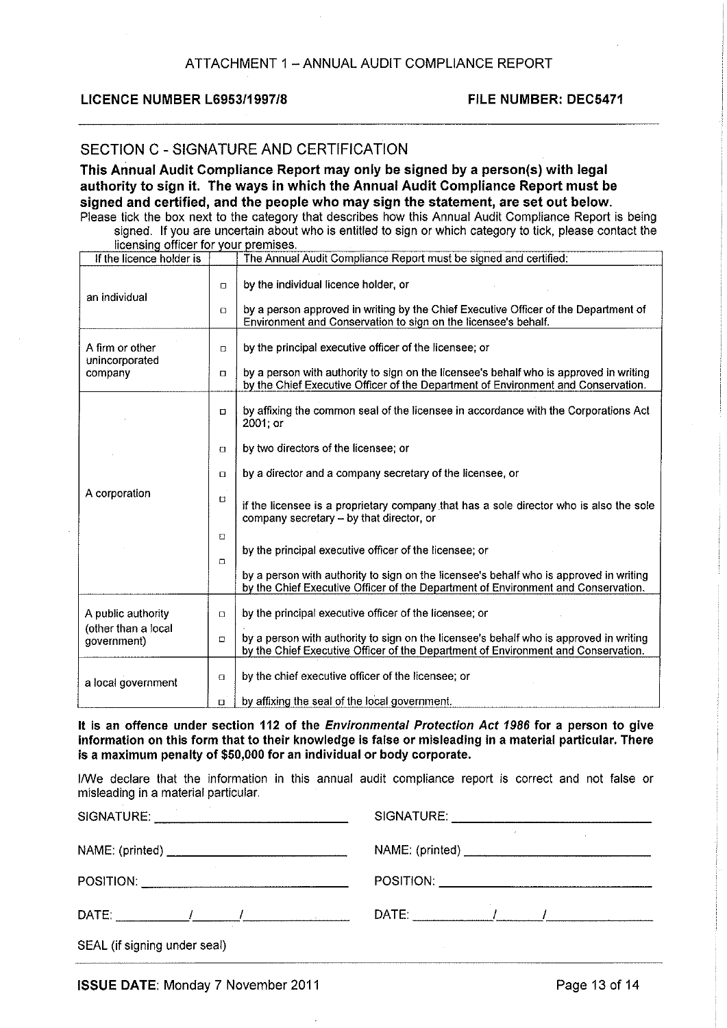#### LICENCE NUMBER L69531199718 FILE NUMBER: DEC5471

### SECTION C- SIGNATURE AND CERTIFICATION

This Annual Audit Compliance Report may only be signed by a person(s) with legal authority to sign it. The ways in which the Annual Audit Compliance Report must be signed and certified, and the people who may sign the statement, are set out below. Please tick the box next to the category that describes how this Annual Audit Compliance Report is being

signed. If you are uncertain about who is entitled to sign or which category to tick, please contact the licensing officer for your premises.

| If the licence holder is           |        | The Annual Audit Compliance Report must be signed and certified:                                                                                                            |  |
|------------------------------------|--------|-----------------------------------------------------------------------------------------------------------------------------------------------------------------------------|--|
| an individual                      | $\Box$ | by the individual licence holder, or                                                                                                                                        |  |
|                                    | O      | by a person approved in writing by the Chief Executive Officer of the Department of<br>Environment and Conservation to sign on the licensee's behalf.                       |  |
| A firm or other<br>unincorporated  | $\Box$ | by the principal executive officer of the licensee; or                                                                                                                      |  |
| company                            | $\Box$ | by a person with authority to sign on the licensee's behalf who is approved in writing<br>by the Chief Executive Officer of the Department of Environment and Conservation. |  |
|                                    | $\Box$ | by affixing the common seal of the licensee in accordance with the Corporations Act<br>2001; or                                                                             |  |
|                                    | $\Box$ | by two directors of the licensee; or                                                                                                                                        |  |
|                                    | $\Box$ | by a director and a company secretary of the licensee, or                                                                                                                   |  |
| A corporation                      | O      | if the licensee is a proprietary company that has a sole director who is also the sole<br>company secretary - by that director, or                                          |  |
|                                    | $\Box$ |                                                                                                                                                                             |  |
|                                    | $\Box$ | by the principal executive officer of the licensee; or                                                                                                                      |  |
|                                    |        | by a person with authority to sign on the licensee's behalf who is approved in writing<br>by the Chief Executive Officer of the Department of Environment and Conservation. |  |
| A public authority                 | $\Box$ | by the principal executive officer of the licensee; or                                                                                                                      |  |
| (other than a local<br>government) | $\Box$ | by a person with authority to sign on the licensee's behalf who is approved in writing<br>by the Chief Executive Officer of the Department of Environment and Conservation. |  |
| a local government                 | $\Box$ | by the chief executive officer of the licensee; or                                                                                                                          |  |
|                                    | $\Box$ | by affixing the seal of the local government.                                                                                                                               |  |

It is an offence under section 112 of the Environmental Protection Act 1986 for a person to give information on this form that to their knowledge is false or misleading in a material particular. There is a maximum penalty of \$50,000 for an individual or body corporate.

I/We declare that the information in this annual audit compliance report is correct and not false or misleading in a material particular.

|                              | NAME: (printed) ___________________________ |  |  |  |
|------------------------------|---------------------------------------------|--|--|--|
|                              |                                             |  |  |  |
|                              |                                             |  |  |  |
| SEAL (if signing under seal) |                                             |  |  |  |

ISSUE DATE: Monday 7 November 2011 **Page 13 of 14**